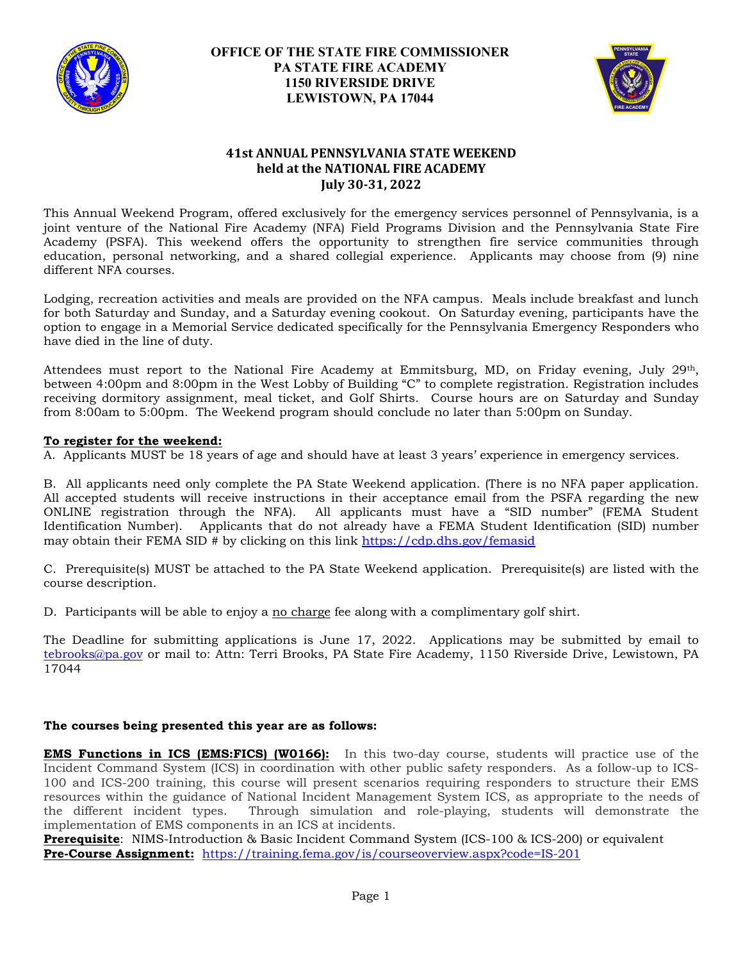

## **OFFICE OF THE STATE FIRE COMMISSIONER PA STATE FIRE ACADEMY 1150 RIVERSIDE DRIVE LEWISTOWN, PA 17044**



# **41st ANNUAL PENNSYLVANIA STATE WEEKEND held at the NATIONAL FIRE ACADEMY July 30-31, 2022**

This Annual Weekend Program, offered exclusively for the emergency services personnel of Pennsylvania, is a joint venture of the National Fire Academy (NFA) Field Programs Division and the Pennsylvania State Fire Academy (PSFA). This weekend offers the opportunity to strengthen fire service communities through education, personal networking, and a shared collegial experience. Applicants may choose from (9) nine different NFA courses.

Lodging, recreation activities and meals are provided on the NFA campus. Meals include breakfast and lunch for both Saturday and Sunday, and a Saturday evening cookout. On Saturday evening, participants have the option to engage in a Memorial Service dedicated specifically for the Pennsylvania Emergency Responders who have died in the line of duty.

Attendees must report to the National Fire Academy at Emmitsburg, MD, on Friday evening, July 29th, between 4:00pm and 8:00pm in the West Lobby of Building "C" to complete registration. Registration includes receiving dormitory assignment, meal ticket, and Golf Shirts. Course hours are on Saturday and Sunday from 8:00am to 5:00pm. The Weekend program should conclude no later than 5:00pm on Sunday.

#### **To register for the weekend:**

A. Applicants MUST be 18 years of age and should have at least 3 years' experience in emergency services.

B. All applicants need only complete the PA State Weekend application. (There is no NFA paper application. All accepted students will receive instructions in their acceptance email from the PSFA regarding the new ONLINE registration through the NFA). All applicants must have a "SID number" (FEMA Student Identification Number). Applicants that do not already have a FEMA Student Identification (SID) number may obtain their FEMA SID # by clicking on this link<https://cdp.dhs.gov/femasid>

C. Prerequisite(s) MUST be attached to the PA State Weekend application. Prerequisite(s) are listed with the course description.

D. Participants will be able to enjoy a no charge fee along with a complimentary golf shirt.

The Deadline for submitting applications is June 17, 2022. Applications may be submitted by email to [tebrooks@pa.gov](mailto:tebrooks@pa.gov) or mail to: Attn: Terri Brooks, PA State Fire Academy, 1150 Riverside Drive, Lewistown, PA 17044

#### **The courses being presented this year are as follows:**

**EMS Functions in ICS (EMS:FICS) (W0166):** In this two-day course, students will practice use of the Incident Command System (ICS) in coordination with other public safety responders. As a follow-up to ICS-100 and ICS-200 training, this course will present scenarios requiring responders to structure their EMS resources within the guidance of National Incident Management System ICS, as appropriate to the needs of the different incident types. Through simulation and role-playing, students will demonstrate the implementation of EMS components in an ICS at incidents.

**Prerequisite**: NIMS-Introduction & Basic Incident Command System (ICS-100 & ICS-200) or equivalent **Pre-Course Assignment:** [https://training.fema.gov/is/courseoverview.aspx?code=IS-201](https://gcc02.safelinks.protection.outlook.com/?url=https%3A%2F%2Ftraining.fema.gov%2Fis%2Fcourseoverview.aspx%3Fcode%3DIS-201&data=04%7C01%7Ctebrooks%40pa.gov%7C9bb666a7a3ba433a400908d9fac83fa3%7C418e284101284dd59b6c47fc5a9a1bde%7C0%7C0%7C637816560357082732%7CUnknown%7CTWFpbGZsb3d8eyJWIjoiMC4wLjAwMDAiLCJQIjoiV2luMzIiLCJBTiI6Ik1haWwiLCJXVCI6Mn0%3D%7C2000&sdata=4zwWc0KU6CEdoZo2w1dnSc3ywg1zp115vXzucliiLuo%3D&reserved=0)